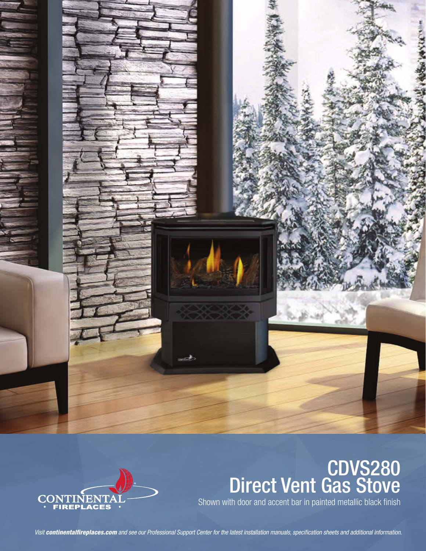



# CDVS280 Direct Vent Gas Stove

Shown with door and accent bar in painted metallic black finish

*Visit continentalfireplaces.com and see our Professional Support Center for the latest installation manuals, specification sheets and additional information.*